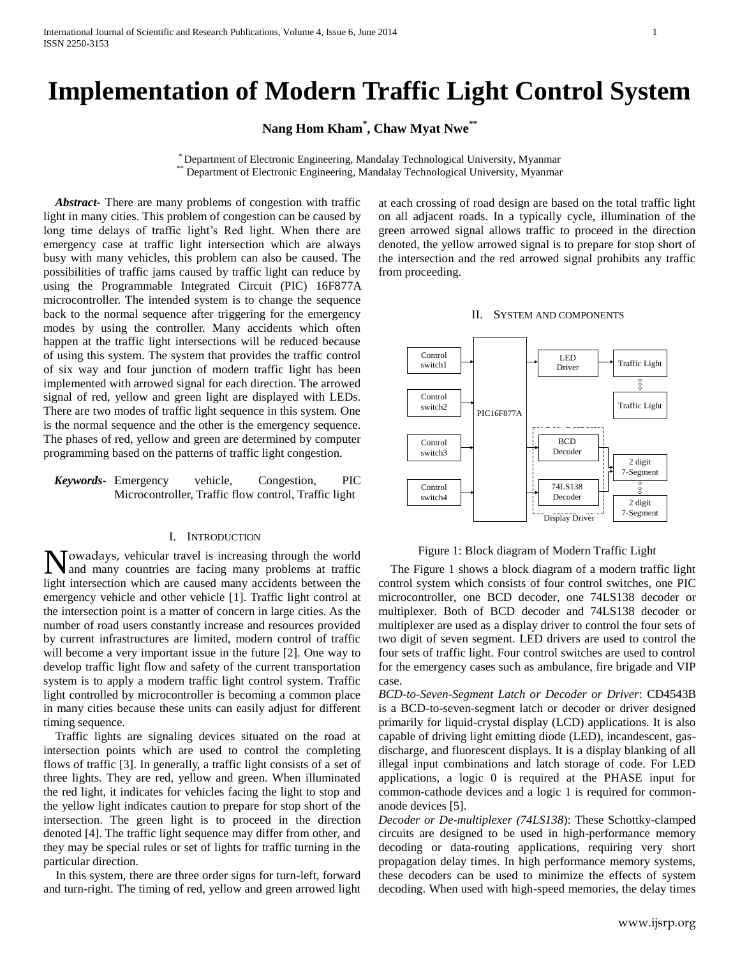# **Implementation of Modern Traffic Light Control System**

**Nang Hom Kham\* , Chaw Myat Nwe\*\***

\* Department of Electronic Engineering, Mandalay Technological University, Myanmar \*\* Department of Electronic Engineering, Mandalay Technological University, Myanmar

 *Abstract-* There are many problems of congestion with traffic light in many cities. This problem of congestion can be caused by long time delays of traffic light's Red light. When there are emergency case at traffic light intersection which are always busy with many vehicles, this problem can also be caused. The possibilities of traffic jams caused by traffic light can reduce by using the Programmable Integrated Circuit (PIC) 16F877A microcontroller. The intended system is to change the sequence back to the normal sequence after triggering for the emergency modes by using the controller. Many accidents which often happen at the traffic light intersections will be reduced because of using this system. The system that provides the traffic control of six way and four junction of modern traffic light has been implemented with arrowed signal for each direction. The arrowed signal of red, yellow and green light are displayed with LEDs. There are two modes of traffic light sequence in this system. One is the normal sequence and the other is the emergency sequence. The phases of red, yellow and green are determined by computer programming based on the patterns of traffic light congestion.

*Keywords-* Emergency vehicle, Congestion, PIC Microcontroller, Traffic flow control, Traffic light

#### I. INTRODUCTION

Nowadays, vehicular travel is increasing through the world<br>and many countries are facing many problems at traffic and many countries are facing many problems at traffic light intersection which are caused many accidents between the emergency vehicle and other vehicle [1]. Traffic light control at the intersection point is a matter of concern in large cities. As the number of road users constantly increase and resources provided by current infrastructures are limited, modern control of traffic will become a very important issue in the future [2]. One way to develop traffic light flow and safety of the current transportation system is to apply a modern traffic light control system. Traffic light controlled by microcontroller is becoming a common place in many cities because these units can easily adjust for different timing sequence.

 Traffic lights are signaling devices situated on the road at intersection points which are used to control the completing flows of traffic [3]. In generally, a traffic light consists of a set of three lights. They are red, yellow and green. When illuminated the red light, it indicates for vehicles facing the light to stop and the yellow light indicates caution to prepare for stop short of the intersection. The green light is to proceed in the direction denoted [4]. The traffic light sequence may differ from other, and they may be special rules or set of lights for traffic turning in the particular direction.

 In this system, there are three order signs for turn-left, forward and turn-right. The timing of red, yellow and green arrowed light

at each crossing of road design are based on the total traffic light on all adjacent roads. In a typically cycle, illumination of the green arrowed signal allows traffic to proceed in the direction denoted, the yellow arrowed signal is to prepare for stop short of the intersection and the red arrowed signal prohibits any traffic from proceeding.

#### II. SYSTEM AND COMPONENTS



Figure 1: Block diagram of Modern Traffic Light

 The Figure 1 shows a block diagram of a modern traffic light control system which consists of four control switches, one PIC microcontroller, one BCD decoder, one 74LS138 decoder or multiplexer. Both of BCD decoder and 74LS138 decoder or multiplexer are used as a display driver to control the four sets of two digit of seven segment. LED drivers are used to control the four sets of traffic light. Four control switches are used to control for the emergency cases such as ambulance, fire brigade and VIP case.

*BCD-to-Seven-Segment Latch or Decoder or Driver*: CD4543B is a BCD-to-seven-segment latch or decoder or driver designed primarily for liquid-crystal display (LCD) applications. It is also capable of driving light emitting diode (LED), incandescent, gasdischarge, and fluorescent displays. It is a display blanking of all illegal input combinations and latch storage of code. For LED applications, a logic 0 is required at the PHASE input for common-cathode devices and a logic 1 is required for commonanode devices [5].

*Decoder or De-multiplexer (74LS138*): These Schottky-clamped circuits are designed to be used in high-performance memory decoding or data-routing applications, requiring very short propagation delay times. In high performance memory systems, these decoders can be used to minimize the effects of system decoding. When used with high-speed memories, the delay times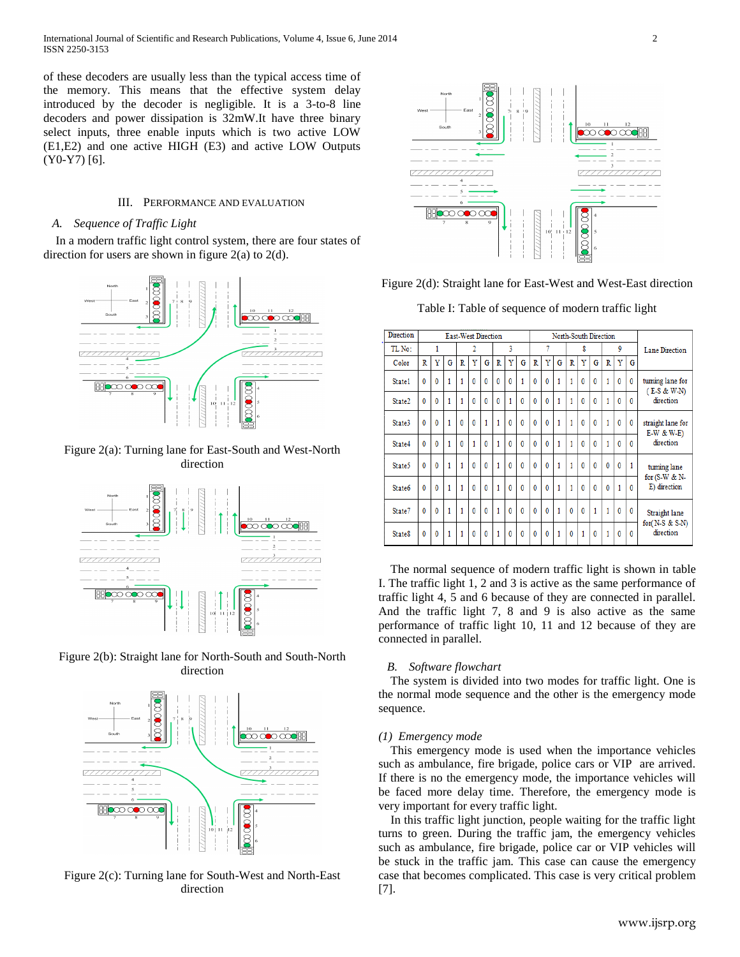of these decoders are usually less than the typical access time of the memory. This means that the effective system delay introduced by the decoder is negligible. It is a 3-to-8 line decoders and power dissipation is 32mW.It have three binary select inputs, three enable inputs which is two active LOW (E1,E2) and one active HIGH (E3) and active LOW Outputs (Y0-Y7) [6].

# III. PERFORMANCE AND EVALUATION

## *A. Sequence of Traffic Light*

 In a modern traffic light control system, there are four states of direction for users are shown in figure  $2(a)$  to  $2(d)$ .



## Figure 2(a): Turning lane for East-South and West-North direction







Figure 2(c): Turning lane for South-West and North-East direction



Figure 2(d): Straight lane for East-West and West-East direction

Table I: Table of sequence of modern traffic light

| Direction          | <b>East-West Direction</b> |              |   |              |              |              |              |              | North-South Direction |              |              |   |              |              |              |   |              |                       |                                                 |
|--------------------|----------------------------|--------------|---|--------------|--------------|--------------|--------------|--------------|-----------------------|--------------|--------------|---|--------------|--------------|--------------|---|--------------|-----------------------|-------------------------------------------------|
| TL No:             | 1                          |              | 2 |              |              | 3            |              |              | 7                     |              |              | 8 |              |              | 9            |   |              | <b>Lane Direction</b> |                                                 |
| Color              | R                          | Y            | G | R            | Y            | G            | R            | Y            | G                     | R            | Ÿ            | G | R            | Y            | G            | R | Y            | G                     |                                                 |
| State1             | $\bf{0}$                   | $\bf{0}$     | 1 | 1            | $\bf{0}$     | $\mathbf{0}$ | $\mathbf{0}$ | 0            | 1                     | $\mathbf{0}$ | $\bf{0}$     | 1 | 1            | $\bf{0}$     | $\bf{0}$     | 1 | $\mathbf{0}$ | $\bf{0}$              | tuming lane for<br>$(E-S & W-N)$<br>direction   |
| State <sub>2</sub> | $\mathbf{0}$               | $\bf{0}$     | 1 | 1            | $\mathbf{0}$ | $\mathbf{0}$ | $\bf{0}$     | 1            | $\mathbf{0}$          | $\mathbf{0}$ | $\mathbf{0}$ | 1 | 1            | $\mathbf{0}$ | $\mathbf{0}$ | 1 | $\mathbf{0}$ | $\mathbf{0}$          |                                                 |
| State3             | $\mathbf{0}$               | $\theta$     | 1 | $\mathbf{0}$ | $\mathbf{0}$ | 1            | 1            | $\mathbf{0}$ | $\mathbf{0}$          | $\mathbf{0}$ | $\mathbf{0}$ | 1 | 1            | $\mathbf{0}$ | $\mathbf{0}$ | 1 | $\theta$     | $\mathbf{0}$          | straight lane for<br>$E-W & W-E$<br>direction   |
| State4             | $\mathbf{0}$               | 0            | 1 | 0            | 1            | 0            | 1            | 0            | 0                     | $\mathbf 0$  | 0            | 1 | 1            | 0            | 0            | 1 | $\mathbf{0}$ | $\mathbf{0}$          |                                                 |
| State5             | $\mathbf{0}$               | $\mathbf{0}$ | 1 | 1            | 0            | $\mathbf{0}$ | 1            | 0            | $\mathbf{0}$          | $\mathbf{0}$ | 0            | 1 | 1            | $\mathbf{0}$ | $\mathbf{0}$ | 0 | $\mathbf{0}$ | 1                     | tuming lane                                     |
| State <sub>6</sub> | $\mathbf{0}$               | $\mathbf{0}$ | 1 | 1            | $\mathbf{0}$ | $\mathbf{0}$ | 1            | 0            | $\mathbf{0}$          | $\mathbf{0}$ | $\mathbf{0}$ | 1 | 1            | $\mathbf{0}$ | $\mathbf{0}$ | 0 | 1            | $\mathbf{0}$          | for $(S-W & N-$<br>E) direction                 |
| State7             | $\mathbf{0}$               | $\mathbf{0}$ | 1 | 1            | $\mathbf{0}$ | $\mathbf{0}$ | 1            | $\mathbf{0}$ | $\mathbf{0}$          | $\mathbf{0}$ | $\mathbf{0}$ | 1 | $\theta$     | $\mathbf{0}$ | 1            | 1 | $\mathbf{0}$ | $\mathbf{0}$          | Straight lane<br>for $(N-S & S-N)$<br>direction |
| State <sub>8</sub> | $\mathbf{0}$               | $\bf{0}$     | 1 | 1            | $\mathbf{0}$ | $\mathbf{0}$ | 1            | $\mathbf{0}$ | $\mathbf{0}$          | $\bf{0}$     | $\mathbf{0}$ | 1 | $\mathbf{0}$ | 1            | $\mathbf{0}$ | 1 | $\mathbf{0}$ | $\mathbf{0}$          |                                                 |

 The normal sequence of modern traffic light is shown in table I. The traffic light 1, 2 and 3 is active as the same performance of traffic light 4, 5 and 6 because of they are connected in parallel. And the traffic light 7, 8 and 9 is also active as the same performance of traffic light 10, 11 and 12 because of they are connected in parallel.

## *B. Software flowchart*

 The system is divided into two modes for traffic light. One is the normal mode sequence and the other is the emergency mode sequence.

## *(1) Emergency mode*

 This emergency mode is used when the importance vehicles such as ambulance, fire brigade, police cars or VIP are arrived. If there is no the emergency mode, the importance vehicles will be faced more delay time. Therefore, the emergency mode is very important for every traffic light.

 In this traffic light junction, people waiting for the traffic light turns to green. During the traffic jam, the emergency vehicles such as ambulance, fire brigade, police car or VIP vehicles will be stuck in the traffic jam. This case can cause the emergency case that becomes complicated. This case is very critical problem [7].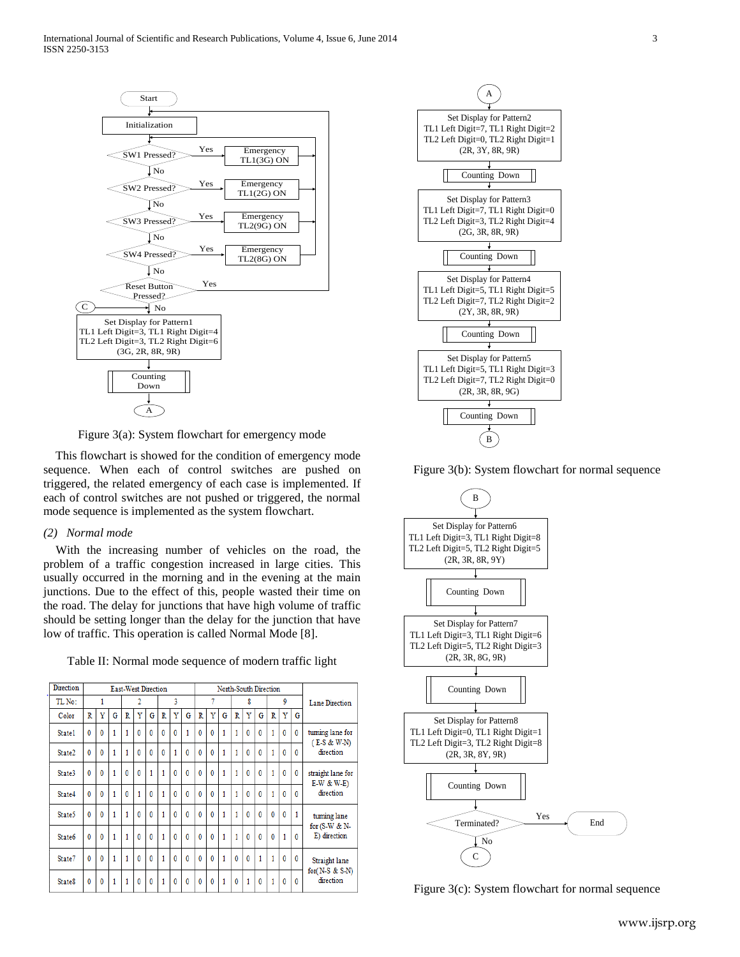

Figure 3(a): System flowchart for emergency mode

 This flowchart is showed for the condition of emergency mode sequence. When each of control switches are pushed on triggered, the related emergency of each case is implemented. If each of control switches are not pushed or triggered, the normal mode sequence is implemented as the system flowchart.

## *(2) Normal mode*

 With the increasing number of vehicles on the road, the problem of a traffic congestion increased in large cities. This usually occurred in the morning and in the evening at the main junctions. Due to the effect of this, people wasted their time on the road. The delay for junctions that have high volume of traffic should be setting longer than the delay for the junction that have low of traffic. This operation is called Normal Mode [8].

Table II: Normal mode sequence of modern traffic light

| <b>Direction</b>   | <b>East-West Direction</b> |              |   |              |              |              |              |              | North-South Direction |              |              |              |              |              |              |   |              |              |                                                 |
|--------------------|----------------------------|--------------|---|--------------|--------------|--------------|--------------|--------------|-----------------------|--------------|--------------|--------------|--------------|--------------|--------------|---|--------------|--------------|-------------------------------------------------|
| TL No:             |                            | 1            |   |              | 2            |              |              | 3            |                       |              | 7            |              |              | 8            |              |   | 9            |              | Lane Direction                                  |
| Color              | R                          | Ÿ            | G | R            | Ÿ            | G            | R            | Ÿ            | Ġ                     | Ŕ            | Ÿ            | G            | R            | Ÿ            | G            | R | Ÿ            | G            |                                                 |
| State1             | $\mathbf{0}$               | 0            | 1 | 1            | $\mathbf 0$  | $\mathbf 0$  | $\mathbf 0$  | 0            | 1                     | 0            | $\mathbf 0$  | 1            | 1            | $\bf{0}$     | 0            | 1 | $\mathbf{0}$ | $\mathbf{0}$ | tuming lane for<br>$(E-S & W-N)$<br>direction   |
| State <sub>2</sub> | $\mathbf{0}$               | $\mathbf{0}$ | 1 | 1            | $\mathbf{0}$ | $\mathbf{0}$ | $\mathbf{0}$ | 1            | Ō                     | $\mathbf{0}$ | $\mathbf{0}$ | 1            | 1            | $\mathbf{0}$ | 0            | 1 | $\mathbf{0}$ | $\mathbf{0}$ |                                                 |
| State3             | $\mathbf{0}$               | 0            | 1 | $\mathbf{0}$ | $\mathbf{0}$ | 1            | 1            | $\mathbf{0}$ | $\mathbf{0}$          | $\mathbf{0}$ | $\mathbf{0}$ | $\mathbf{1}$ | 1            | $\mathbf{0}$ | $\mathbf{0}$ | 1 | $\mathbf{0}$ | $\mathbf{0}$ | straight lane for<br>$E-W & W-E$<br>direction   |
| State4             | $\mathbf{0}$               | $\bf{0}$     | 1 | $\mathbf{0}$ | 1            | $\mathbf{0}$ | 1            | $\mathbf{0}$ | $\mathbf{0}$          | $\mathbf{0}$ | $\mathbf{0}$ | $\mathbf{1}$ | 1            | $\mathbf{0}$ | 0            | 1 | $\mathbf{0}$ | $\mathbf{0}$ |                                                 |
| State5             | $\mathbf{0}$               | $\mathbf{0}$ | 1 | 1            | $\mathbf{0}$ | $\mathbf{0}$ | 1            | 0            | $\theta$              | 0            | $\mathbf{0}$ | 1            | 1            | $\mathbf{0}$ | 0            | 0 | $\theta$     | 1            | tuming lane                                     |
| State <sub>6</sub> | $\bf{0}$                   | $\bf{0}$     | 1 | 1            | $\mathbf{0}$ | $\theta$     | 1            | $\mathbf{0}$ | $\ddot{\mathbf{0}}$   | $\mathbf{0}$ | $\mathbf{0}$ | 1            | 1            | $\theta$     | 0            | 0 | 1            | $\mathbf{0}$ | for $(S-W & N-$<br>E) direction                 |
| State7             | $\mathbf{0}$               | $\mathbf{0}$ | 1 | 1            | $\mathbf{0}$ | $\mathbf{0}$ | 1            | $\mathbf{0}$ | $\mathbf{0}$          | $\mathbf{0}$ | $\mathbf{0}$ | 1            | $\mathbf{0}$ | $\mathbf{0}$ | 1            | 1 | $\mathbf{0}$ | $\mathbf{0}$ | Straight lane<br>for $(N-S & S-N)$<br>direction |
| State <sub>8</sub> | 0                          | 0            | 1 | 1            | $\mathbf{0}$ | $\mathbf{0}$ | 1            | $\mathbf{0}$ | $\theta$              | $\mathbf{0}$ | $\mathbf{0}$ | $\mathbf{1}$ | $\mathbf{0}$ | 1            | 0            | 1 | $\theta$     | $\mathbf{0}$ |                                                 |



Figure 3(b): System flowchart for normal sequence



Figure 3(c): System flowchart for normal sequence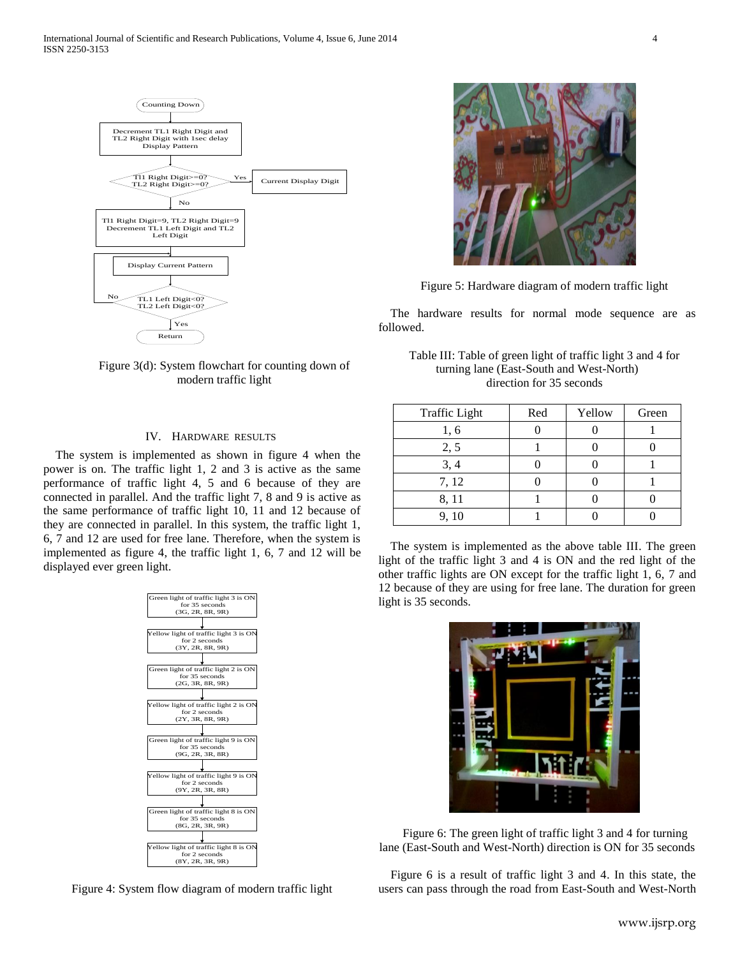

Figure 3(d): System flowchart for counting down of modern traffic light

## IV. HARDWARE RESULTS

 The system is implemented as shown in figure 4 when the power is on. The traffic light 1, 2 and 3 is active as the same performance of traffic light 4, 5 and 6 because of they are connected in parallel. And the traffic light 7, 8 and 9 is active as the same performance of traffic light 10, 11 and 12 because of they are connected in parallel. In this system, the traffic light 1, 6, 7 and 12 are used for free lane. Therefore, when the system is implemented as figure 4, the traffic light 1, 6, 7 and 12 will be displayed ever green light.



Figure 4: System flow diagram of modern traffic light



Figure 5: Hardware diagram of modern traffic light

 The hardware results for normal mode sequence are as followed.

Table III: Table of green light of traffic light 3 and 4 for turning lane (East-South and West-North) direction for 35 seconds

| <b>Traffic Light</b> | Red | Yellow | Green |
|----------------------|-----|--------|-------|
| 1,6                  |     |        |       |
| 2, 5                 |     |        |       |
| 3, 4                 |     |        |       |
| 7, 12                |     |        |       |
| 8, 11                |     |        |       |
| 9, 10                |     |        |       |

 The system is implemented as the above table III. The green light of the traffic light 3 and 4 is ON and the red light of the other traffic lights are ON except for the traffic light 1, 6, 7 and 12 because of they are using for free lane. The duration for green light is 35 seconds.



Figure 6: The green light of traffic light 3 and 4 for turning lane (East-South and West-North) direction is ON for 35 seconds

 Figure 6 is a result of traffic light 3 and 4. In this state, the users can pass through the road from East-South and West-North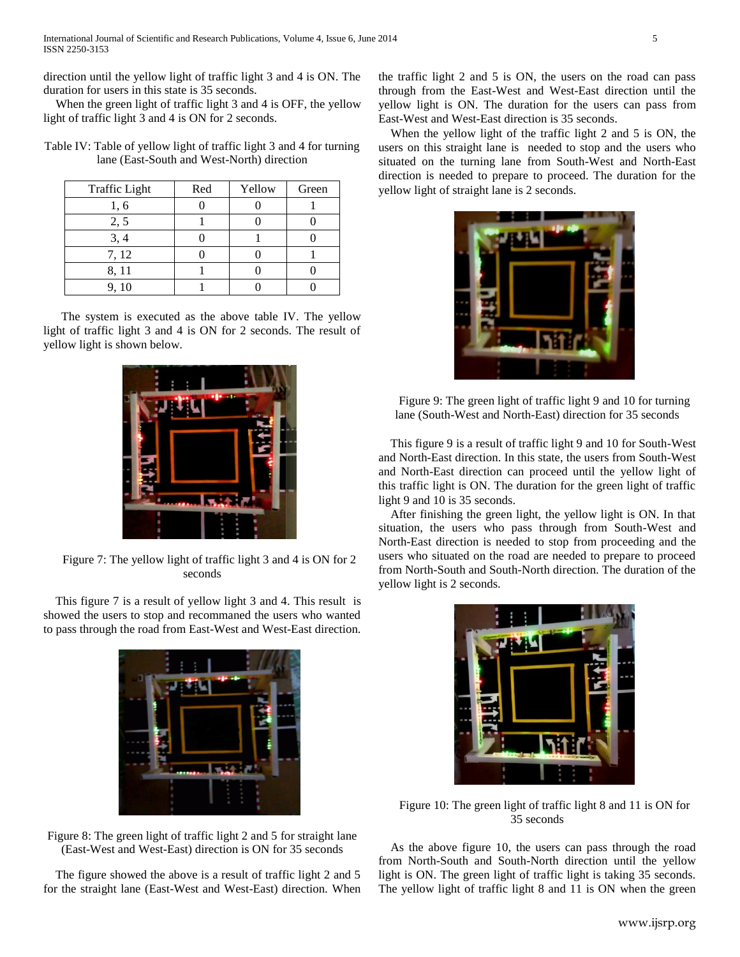International Journal of Scientific and Research Publications, Volume 4, Issue 6, June 2014 5 ISSN 2250-3153

direction until the yellow light of traffic light 3 and 4 is ON. The duration for users in this state is 35 seconds.

 When the green light of traffic light 3 and 4 is OFF, the yellow light of traffic light 3 and 4 is ON for 2 seconds.

Table IV: Table of yellow light of traffic light 3 and 4 for turning lane (East-South and West-North) direction

| <b>Traffic Light</b> | Red | Yellow | Green |
|----------------------|-----|--------|-------|
| 1, 6                 |     |        |       |
| 2, 5                 |     |        |       |
| 3, 4                 |     |        |       |
| 7, 12                |     |        |       |
| 8, 11                |     |        |       |
| 9, 10                |     |        |       |

The system is executed as the above table IV. The yellow light of traffic light 3 and 4 is ON for 2 seconds. The result of yellow light is shown below.



Figure 7: The yellow light of traffic light 3 and 4 is ON for 2 seconds

 This figure 7 is a result of yellow light 3 and 4. This result is showed the users to stop and recommaned the users who wanted to pass through the road from East-West and West-East direction.



Figure 8: The green light of traffic light 2 and 5 for straight lane (East-West and West-East) direction is ON for 35 seconds

 The figure showed the above is a result of traffic light 2 and 5 for the straight lane (East-West and West-East) direction. When the traffic light 2 and 5 is ON, the users on the road can pass through from the East-West and West-East direction until the yellow light is ON. The duration for the users can pass from East-West and West-East direction is 35 seconds.

 When the yellow light of the traffic light 2 and 5 is ON, the users on this straight lane is needed to stop and the users who situated on the turning lane from South-West and North-East direction is needed to prepare to proceed. The duration for the yellow light of straight lane is 2 seconds.



Figure 9: The green light of traffic light 9 and 10 for turning lane (South-West and North-East) direction for 35 seconds

 This figure 9 is a result of traffic light 9 and 10 for South-West and North-East direction. In this state, the users from South-West and North-East direction can proceed until the yellow light of this traffic light is ON. The duration for the green light of traffic light 9 and 10 is 35 seconds.

 After finishing the green light, the yellow light is ON. In that situation, the users who pass through from South-West and North-East direction is needed to stop from proceeding and the users who situated on the road are needed to prepare to proceed from North-South and South-North direction. The duration of the yellow light is 2 seconds.



Figure 10: The green light of traffic light 8 and 11 is ON for 35 seconds

 As the above figure 10, the users can pass through the road from North-South and South-North direction until the yellow light is ON. The green light of traffic light is taking 35 seconds. The yellow light of traffic light 8 and 11 is ON when the green